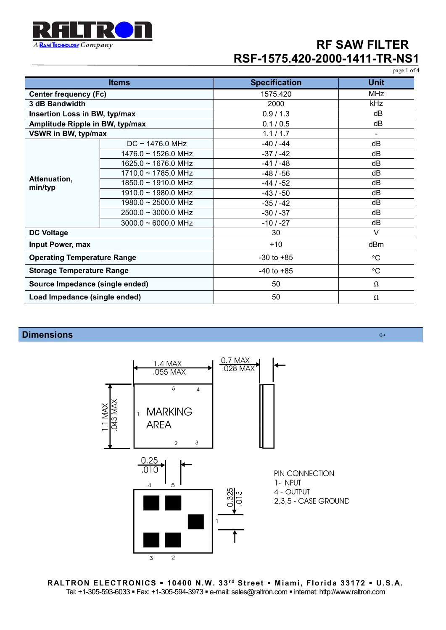

|                                    |                                  |                      | page 1 of 4     |
|------------------------------------|----------------------------------|----------------------|-----------------|
| <b>Items</b>                       |                                  | <b>Specification</b> | <b>Unit</b>     |
| <b>Center frequency (Fc)</b>       |                                  | 1575.420             | <b>MHz</b>      |
| 3 dB Bandwidth                     |                                  | 2000                 | kHz             |
| Insertion Loss in BW, typ/max      |                                  | 0.9/1.3              | dB              |
| Amplitude Ripple in BW, typ/max    |                                  | 0.1 / 0.5            | dB              |
| VSWR in BW, typ/max                |                                  | 1.1 / 1.7            | $\blacksquare$  |
| Attenuation,<br>min/typ            | $DC \sim 1476.0 \text{ MHz}$     | $-40/ -44$           | dB              |
|                                    | $1476.0 \sim 1526.0 \text{ MHz}$ | $-37/ -42$           | dB              |
|                                    | 1625.0 ~ 1676.0 MHz              | $-41/ -48$           | dB              |
|                                    | $1710.0 \sim 1785.0$ MHz         | $-48/ -56$           | dB              |
|                                    | 1850.0 ~ 1910.0 MHz              | $-44 / -52$          | dB              |
|                                    | $1910.0 \sim 1980.0$ MHz         | $-43/ -50$           | dB              |
|                                    | 1980.0 ~ 2500.0 MHz              | $-35/ -42$           | dB              |
|                                    | $2500.0 \sim 3000.0$ MHz         | $-30/ -37$           | dB              |
|                                    | $3000.0 \sim 6000.0$ MHz         | $-10/ -27$           | dB              |
| <b>DC Voltage</b>                  |                                  | 30                   | $\vee$          |
| Input Power, max                   |                                  | $+10$                | dBm             |
| <b>Operating Temperature Range</b> |                                  | $-30$ to $+85$       | $\rm ^{\circ}C$ |
| <b>Storage Temperature Range</b>   |                                  | $-40$ to $+85$       | $\rm ^{\circ}C$ |
| Source Impedance (single ended)    |                                  | 50                   | Ω               |
| Load Impedance (single ended)      |                                  | 50                   | Ω               |

### **Dimensions**



**RALTRON ELECTRONICS 10400 N.W. 33r d Street M iami, Florida 33172 U.S. A.** Tel: +1-305-593-6033 · Fax: +1-305-594-3973 · e-mail: sales@raltron.com · internet: http://www.raltron.com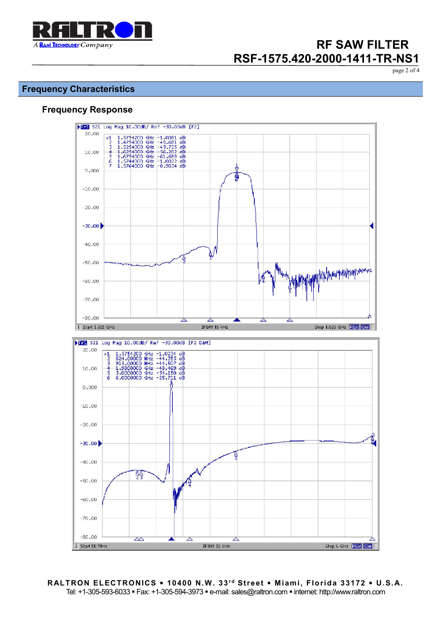

page 2 of 4

### **Frequency Characteristics**

### **Frequency Response**



**RALTRON ELECTRONICS . 10400 N.W. 33rd Street . Miami, Florida 33172 . U.S.A.** Tel: +1-305-593-6033 Fax: +1-305-594-3973 e-mail: sales@raltron.com internet: http://www.raltron.com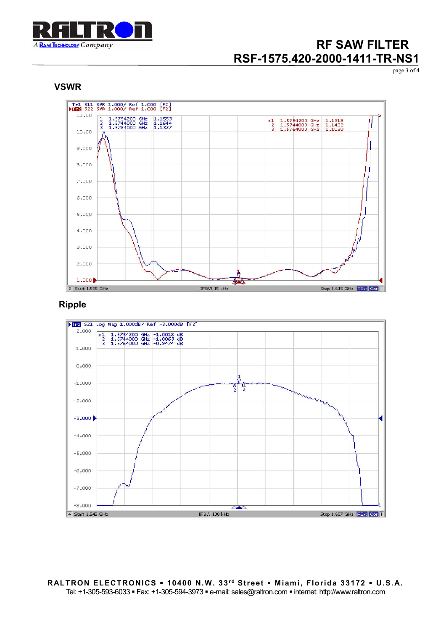

page 3 of 4





### **Ripple**